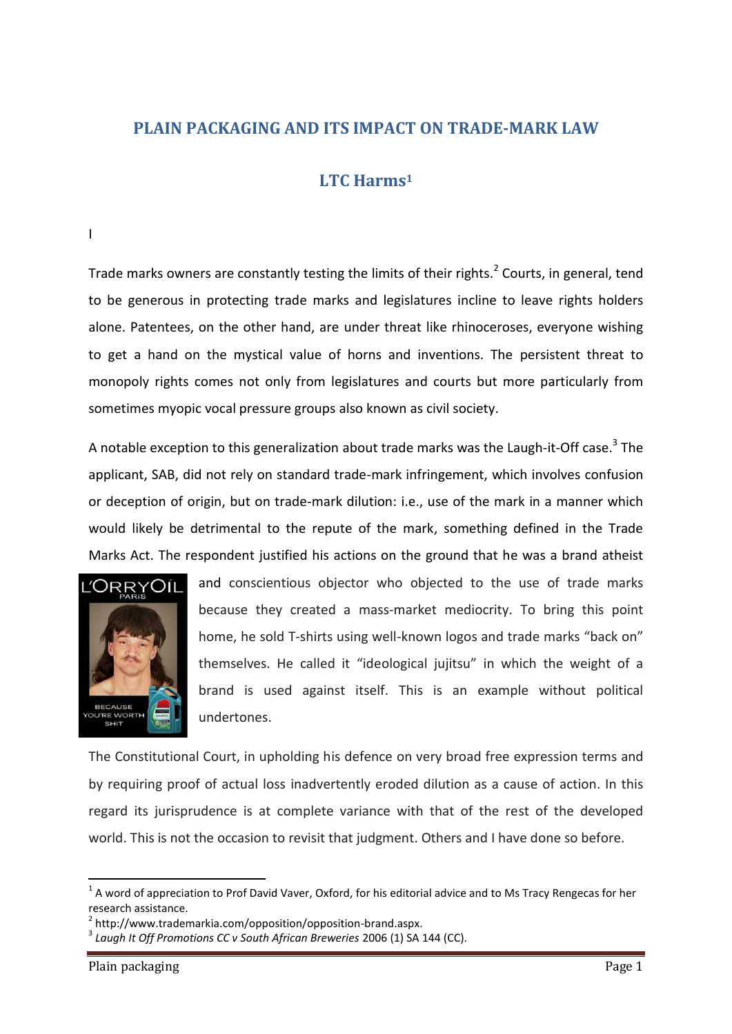# **PLAIN PACKAGING AND ITS IMPACT ON TRADE-MARK LAW**

## **LTC Harms<sup>1</sup>**

I

Trade marks owners are constantly testing the limits of their rights.<sup>2</sup> Courts, in general, tend to be generous in protecting trade marks and legislatures incline to leave rights holders alone. Patentees, on the other hand, are under threat like rhinoceroses, everyone wishing to get a hand on the mystical value of horns and inventions. The persistent threat to monopoly rights comes not only from legislatures and courts but more particularly from sometimes myopic vocal pressure groups also known as civil society.

A notable exception to this generalization about trade marks was the Laugh-it-Off case.<sup>3</sup> The applicant, SAB, did not rely on standard trade-mark infringement, which involves confusion or deception of origin, but on trade-mark dilution: i.e., use of the mark in a manner which would likely be detrimental to the repute of the mark, something defined in the Trade Marks Act. The respondent justified his actions on the ground that he was a brand atheist



and conscientious objector who objected to the use of trade marks because they created a mass-market mediocrity. To bring this point home, he sold T-shirts using well-known logos and trade marks "back on" themselves. He called it "ideological jujitsu" in which the weight of a brand is used against itself. This is an example without political undertones.

The Constitutional Court, in upholding his defence on very broad free expression terms and by requiring proof of actual loss inadvertently eroded dilution as a cause of action. In this regard its jurisprudence is at complete variance with that of the rest of the developed world. This is not the occasion to revisit that judgment. Others and I have done so before.

 $1$  A word of appreciation to Prof David Vaver, Oxford, for his editorial advice and to Ms Tracy Rengecas for her research assistance.

<sup>&</sup>lt;sup>2</sup> http://www.trademarkia.com/opposition/opposition-brand.aspx.

<sup>3</sup> *Laugh It Off Promotions CC v South African Breweries* 2006 (1) SA 144 (CC).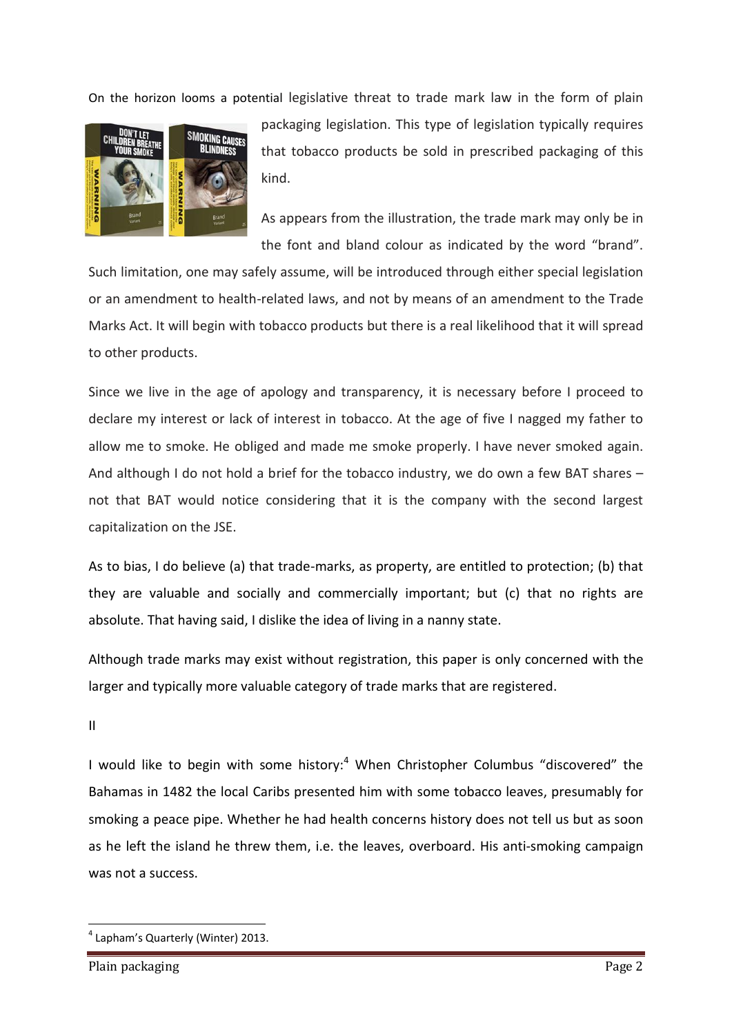On the horizon looms a potential legislative threat to trade mark law in the form of plain



packaging legislation. This type of legislation typically requires that tobacco products be sold in prescribed packaging of this kind.

As appears from the illustration, the trade mark may only be in the font and bland colour as indicated by the word "brand".

Such limitation, one may safely assume, will be introduced through either special legislation or an amendment to health-related laws, and not by means of an amendment to the Trade Marks Act. It will begin with tobacco products but there is a real likelihood that it will spread to other products.

Since we live in the age of apology and transparency, it is necessary before I proceed to declare my interest or lack of interest in tobacco. At the age of five I nagged my father to allow me to smoke. He obliged and made me smoke properly. I have never smoked again. And although I do not hold a brief for the tobacco industry, we do own a few BAT shares – not that BAT would notice considering that it is the company with the second largest capitalization on the JSE.

As to bias, I do believe (a) that trade-marks, as property, are entitled to protection; (b) that they are valuable and socially and commercially important; but (c) that no rights are absolute. That having said, I dislike the idea of living in a nanny state.

Although trade marks may exist without registration, this paper is only concerned with the larger and typically more valuable category of trade marks that are registered.

II

**.** 

I would like to begin with some history:<sup>4</sup> When Christopher Columbus "discovered" the Bahamas in 1482 the local Caribs presented him with some tobacco leaves, presumably for smoking a peace pipe. Whether he had health concerns history does not tell us but as soon as he left the island he threw them, i.e. the leaves, overboard. His anti-smoking campaign was not a success.

<sup>4</sup> Lapham's Quarterly (Winter) 2013.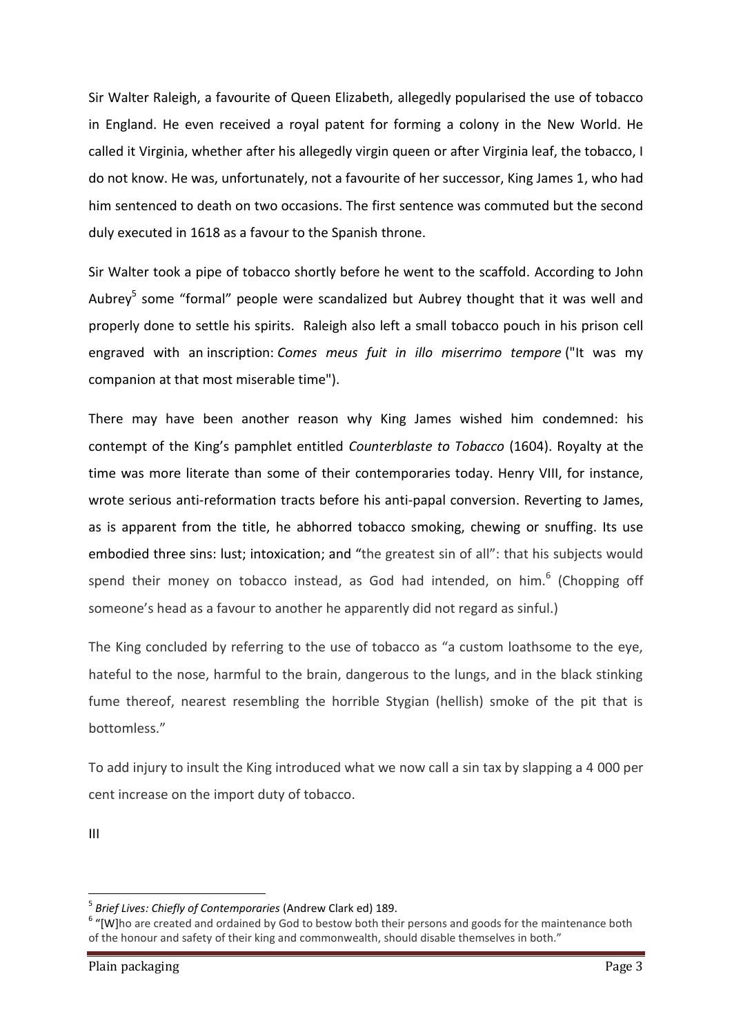Sir Walter Raleigh, a favourite of Queen Elizabeth, allegedly popularised the use of tobacco in England. He even received a royal patent for forming a colony in the New World. He called it Virginia, whether after his allegedly virgin queen or after Virginia leaf, the tobacco, I do not know. He was, unfortunately, not a favourite of her successor, King James 1, who had him sentenced to death on two occasions. The first sentence was commuted but the second duly executed in 1618 as a favour to the Spanish throne.

Sir Walter took a pipe of tobacco shortly before he went to the scaffold. According to John Aubrey<sup>5</sup> some "formal" people were scandalized but Aubrey thought that it was well and properly done to settle his spirits. Raleigh also left a small tobacco pouch in his prison cell engraved with an inscription: *Comes meus fuit in illo miserrimo tempore* ("It was my companion at that most miserable time").

There may have been another reason why King James wished him condemned: his contempt of the King's pamphlet entitled *Counterblaste to Tobacco* (1604). Royalty at the time was more literate than some of their contemporaries today. Henry VIII, for instance, wrote serious anti-reformation tracts before his anti-papal conversion. Reverting to James, as is apparent from the title, he abhorred tobacco smoking, chewing or snuffing. Its use embodied three sins: lust; intoxication; and "the greatest sin of all": that his subjects would spend their money on tobacco instead, as God had intended, on him.<sup>6</sup> (Chopping off someone's head as a favour to another he apparently did not regard as sinful.)

The King concluded by referring to the use of tobacco as "a custom loathsome to the eye, hateful to the nose, harmful to the brain, dangerous to the lungs, and in the black stinking fume thereof, nearest resembling the horrible Stygian (hellish) smoke of the pit that is bottomless."

To add injury to insult the King introduced what we now call a sin tax by slapping a 4 000 per cent increase on the import duty of tobacco.

III

<sup>5</sup> *Brief Lives: Chiefly of Contemporaries* (Andrew Clark ed) 189.

<sup>&</sup>lt;sup>6</sup> "[W]ho are created and ordained by God to bestow both their persons and goods for the maintenance both of the honour and safety of their king and commonwealth, should disable themselves in both."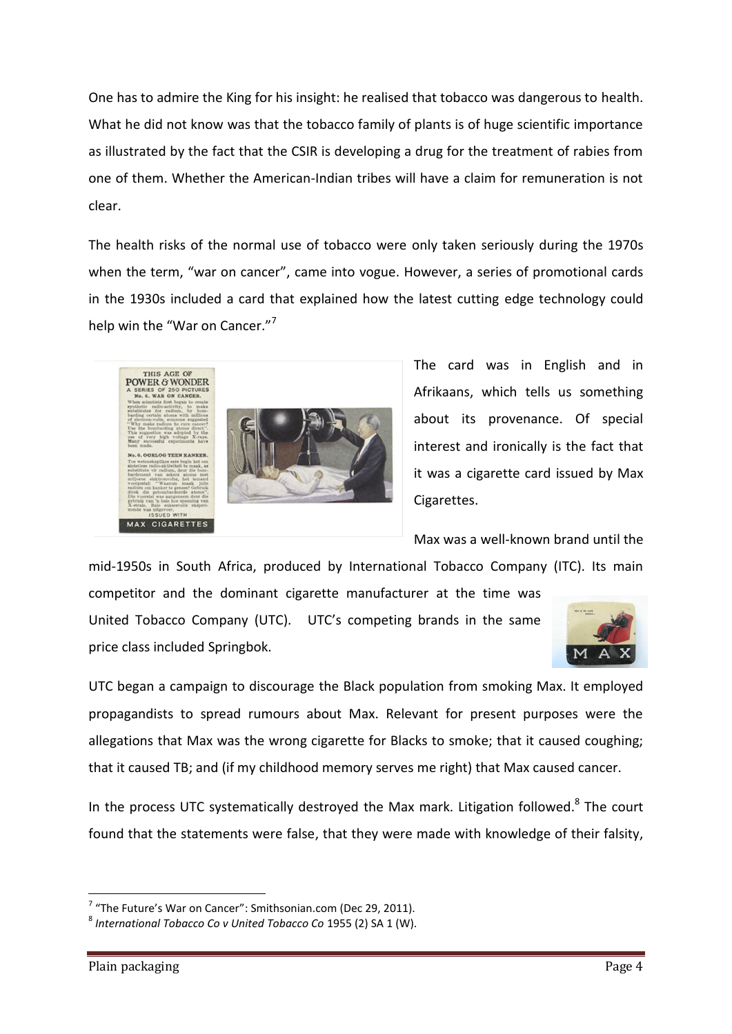One has to admire the King for his insight: he realised that tobacco was dangerous to health. What he did not know was that the tobacco family of plants is of huge scientific importance as illustrated by the fact that the CSIR is developing a drug for the treatment of rabies from one of them. Whether the American-Indian tribes will have a claim for remuneration is not clear.

The health risks of the normal use of tobacco were only taken seriously during the 1970s when the term, "war on cancer", came into vogue. However, a series of promotional cards in the 1930s included a card that explained how the latest cutting edge technology could help win the "War on Cancer."<sup>7</sup>



The card was in English and in Afrikaans, which tells us something about its provenance. Of special interest and ironically is the fact that it was a cigarette card issued by Max Cigarettes.

Max was a well-known brand until the

mid-1950s in South Africa, produced by International Tobacco Company (ITC). Its main competitor and the dominant cigarette manufacturer at the time was United Tobacco Company (UTC). UTC's competing brands in the same price class included Springbok.



UTC began a campaign to discourage the Black population from smoking Max. It employed propagandists to spread rumours about Max. Relevant for present purposes were the allegations that Max was the wrong cigarette for Blacks to smoke; that it caused coughing; that it caused TB; and (if my childhood memory serves me right) that Max caused cancer.

In the process UTC systematically destroyed the Max mark. Litigation followed. $8$  The court found that the statements were false, that they were made with knowledge of their falsity,

 $7$  "The Future's War on Cancer": Smithsonian.com (Dec 29, 2011).

<sup>8</sup> *International Tobacco Co v United Tobacco Co* 1955 (2) SA 1 (W).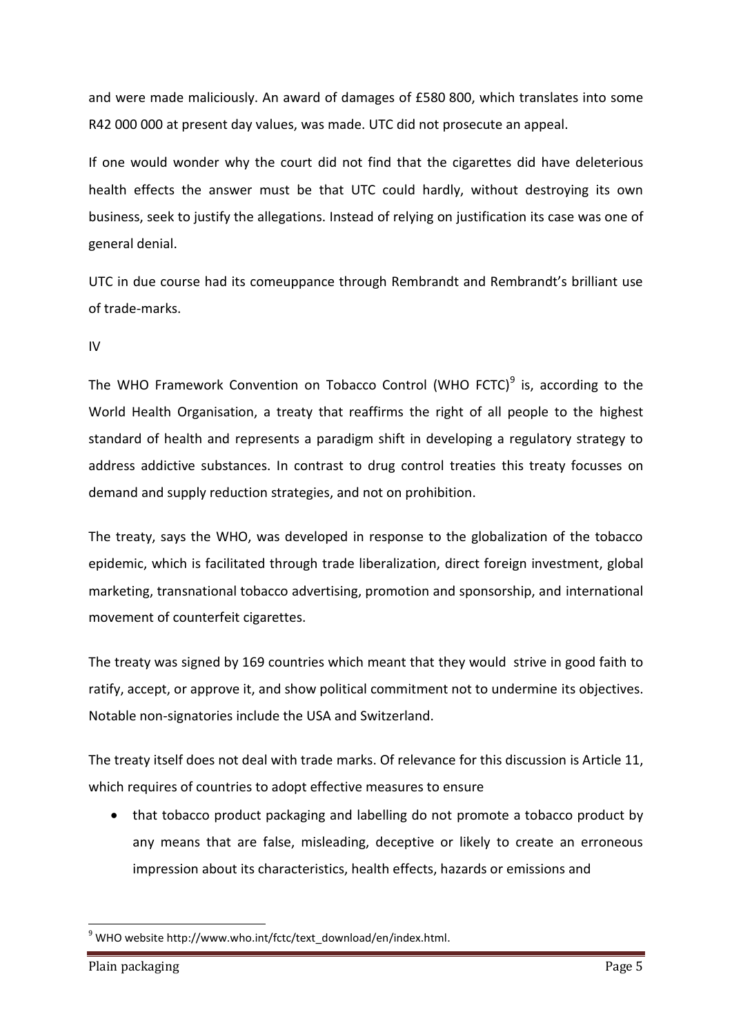and were made maliciously. An award of damages of £580 800, which translates into some R42 000 000 at present day values, was made. UTC did not prosecute an appeal.

If one would wonder why the court did not find that the cigarettes did have deleterious health effects the answer must be that UTC could hardly, without destroying its own business, seek to justify the allegations. Instead of relying on justification its case was one of general denial.

UTC in due course had its comeuppance through Rembrandt and Rembrandt's brilliant use of trade-marks.

The WHO Framework Convention on Tobacco Control (WHO FCTC) $^9$  is, according to the World Health Organisation, a treaty that reaffirms the right of all people to the highest standard of health and represents a paradigm shift in developing a regulatory strategy to address addictive substances. In contrast to drug control treaties this treaty focusses on demand and supply reduction strategies, and not on prohibition.

The treaty, says the WHO, was developed in response to the globalization of the tobacco epidemic, which is facilitated through trade liberalization, direct foreign investment, global marketing, transnational tobacco advertising, promotion and sponsorship, and international movement of counterfeit cigarettes.

The treaty was signed by 169 countries which meant that they would strive in good faith to ratify, accept, or approve it, and show political commitment not to undermine its objectives. Notable non-signatories include the USA and Switzerland.

The treaty itself does not deal with trade marks. Of relevance for this discussion is Article 11, which requires of countries to adopt effective measures to ensure

• that tobacco product packaging and labelling do not promote a tobacco product by any means that are false, misleading, deceptive or likely to create an erroneous impression about its characteristics, health effects, hazards or emissions and

IV

**<sup>.</sup>**  $9$  WHO website http://www.who.int/fctc/text\_download/en/index.html.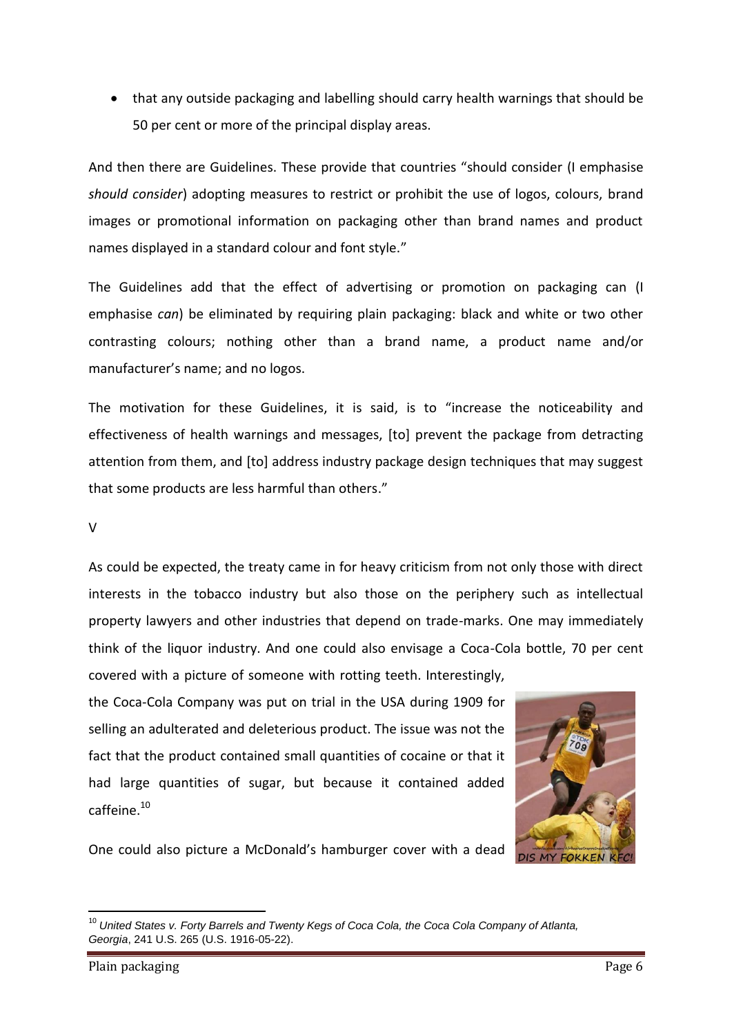that any outside packaging and labelling should carry health warnings that should be 50 per cent or more of the principal display areas.

And then there are Guidelines. These provide that countries "should consider (I emphasise *should consider*) adopting measures to restrict or prohibit the use of logos, colours, brand images or promotional information on packaging other than brand names and product names displayed in a standard colour and font style."

The Guidelines add that the effect of advertising or promotion on packaging can (I emphasise *can*) be eliminated by requiring plain packaging: black and white or two other contrasting colours; nothing other than a brand name, a product name and/or manufacturer's name; and no logos.

The motivation for these Guidelines, it is said, is to "increase the noticeability and effectiveness of health warnings and messages, [to] prevent the package from detracting attention from them, and [to] address industry package design techniques that may suggest that some products are less harmful than others."

### V

As could be expected, the treaty came in for heavy criticism from not only those with direct interests in the tobacco industry but also those on the periphery such as intellectual property lawyers and other industries that depend on trade-marks. One may immediately think of the liquor industry. And one could also envisage a Coca-Cola bottle, 70 per cent covered with a picture of someone with rotting teeth. Interestingly,

the Coca-Cola Company was put on trial in the USA during 1909 for selling an adulterated and deleterious product. The issue was not the fact that the product contained small quantities of cocaine or that it had large quantities of sugar, but because it contained added caffeine.<sup>10</sup>



One could also picture a McDonald's hamburger cover with a dead

1

<sup>&</sup>lt;sup>10</sup> United States v. Forty Barrels and Twenty Kegs of Coca Cola, the Coca Cola Company of Atlanta, *Georgia*, 241 U.S. 265 (U.S. 1916-05-22).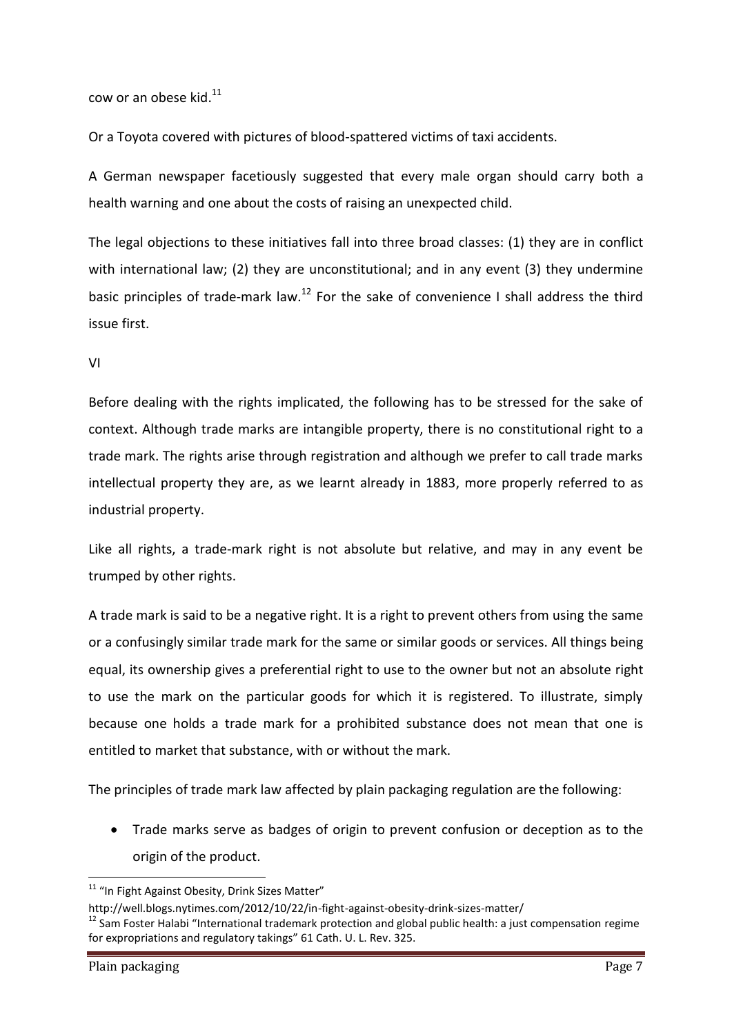cow or an obese kid.<sup>11</sup>

Or a Toyota covered with pictures of blood-spattered victims of taxi accidents.

A German newspaper facetiously suggested that every male organ should carry both a health warning and one about the costs of raising an unexpected child.

The legal objections to these initiatives fall into three broad classes: (1) they are in conflict with international law; (2) they are unconstitutional; and in any event (3) they undermine basic principles of trade-mark law.<sup>12</sup> For the sake of convenience I shall address the third issue first.

VI

Before dealing with the rights implicated, the following has to be stressed for the sake of context. Although trade marks are intangible property, there is no constitutional right to a trade mark. The rights arise through registration and although we prefer to call trade marks intellectual property they are, as we learnt already in 1883, more properly referred to as industrial property.

Like all rights, a trade-mark right is not absolute but relative, and may in any event be trumped by other rights.

A trade mark is said to be a negative right. It is a right to prevent others from using the same or a confusingly similar trade mark for the same or similar goods or services. All things being equal, its ownership gives a preferential right to use to the owner but not an absolute right to use the mark on the particular goods for which it is registered. To illustrate, simply because one holds a trade mark for a prohibited substance does not mean that one is entitled to market that substance, with or without the mark.

The principles of trade mark law affected by plain packaging regulation are the following:

 Trade marks serve as badges of origin to prevent confusion or deception as to the origin of the product.

1

<sup>&</sup>lt;sup>11</sup> "In Fight Against Obesity, Drink Sizes Matter"

http://well.blogs.nytimes.com/2012/10/22/in-fight-against-obesity-drink-sizes-matter/

 $12$  Sam Foster Halabi "International trademark protection and global public health: a just compensation regime for expropriations and regulatory takings" 61 Cath. U. L. Rev. 325.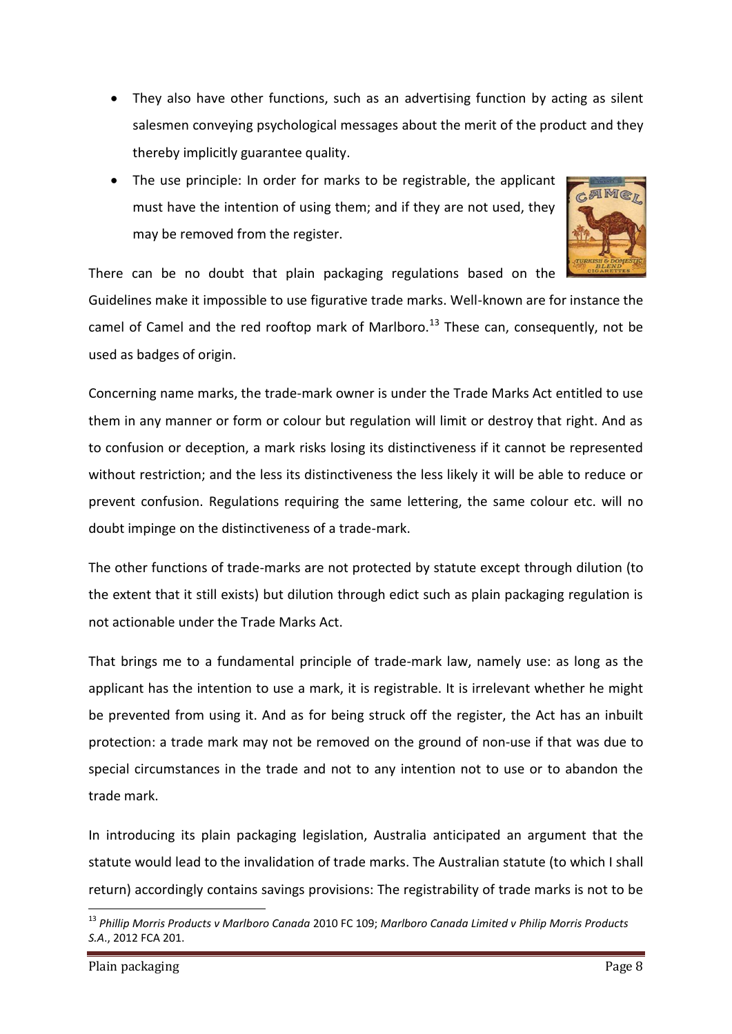- They also have other functions, such as an advertising function by acting as silent salesmen conveying psychological messages about the merit of the product and they thereby implicitly guarantee quality.
- The use principle: In order for marks to be registrable, the applicant must have the intention of using them; and if they are not used, they may be removed from the register.



There can be no doubt that plain packaging regulations based on the

Guidelines make it impossible to use figurative trade marks. Well-known are for instance the camel of Camel and the red rooftop mark of Marlboro.<sup>13</sup> These can, consequently, not be used as badges of origin.

Concerning name marks, the trade-mark owner is under the Trade Marks Act entitled to use them in any manner or form or colour but regulation will limit or destroy that right. And as to confusion or deception, a mark risks losing its distinctiveness if it cannot be represented without restriction; and the less its distinctiveness the less likely it will be able to reduce or prevent confusion. Regulations requiring the same lettering, the same colour etc. will no doubt impinge on the distinctiveness of a trade-mark.

The other functions of trade-marks are not protected by statute except through dilution (to the extent that it still exists) but dilution through edict such as plain packaging regulation is not actionable under the Trade Marks Act.

That brings me to a fundamental principle of trade-mark law, namely use: as long as the applicant has the intention to use a mark, it is registrable. It is irrelevant whether he might be prevented from using it. And as for being struck off the register, the Act has an inbuilt protection: a trade mark may not be removed on the ground of non-use if that was due to special circumstances in the trade and not to any intention not to use or to abandon the trade mark.

In introducing its plain packaging legislation, Australia anticipated an argument that the statute would lead to the invalidation of trade marks. The Australian statute (to which I shall return) accordingly contains savings provisions: The registrability of trade marks is not to be

<sup>13</sup> *Phillip Morris Products v Marlboro Canada* 2010 FC 109; *Marlboro Canada Limited v Philip Morris Products S.A*., 2012 FCA 201.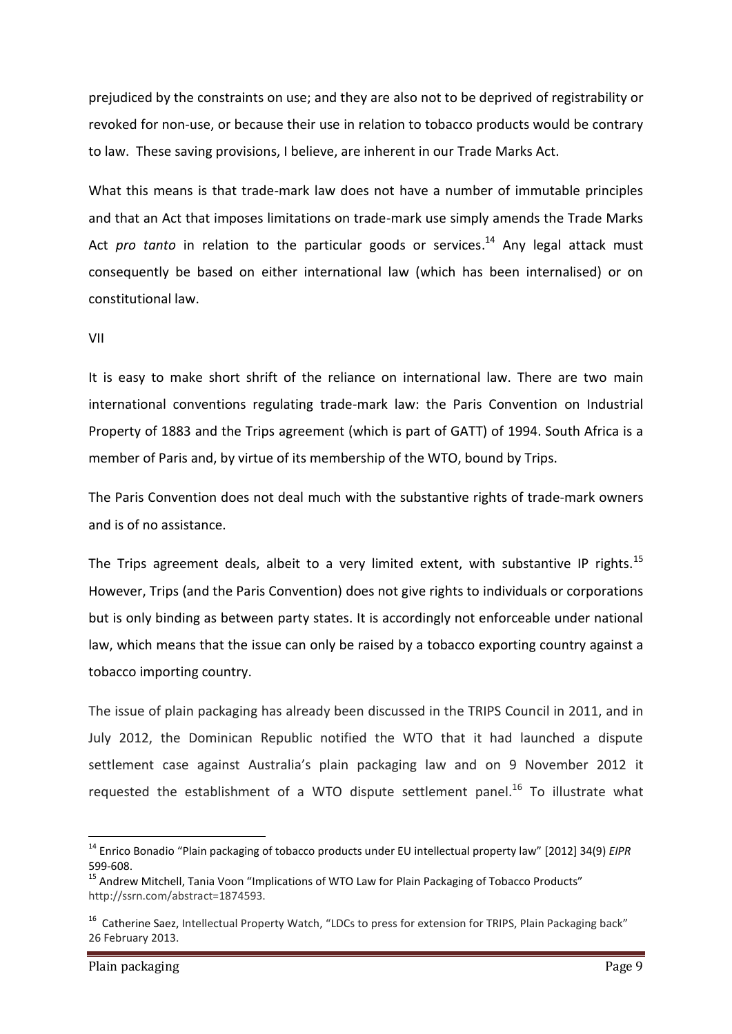prejudiced by the constraints on use; and they are also not to be deprived of registrability or revoked for non-use, or because their use in relation to tobacco products would be contrary to law. These saving provisions, I believe, are inherent in our Trade Marks Act.

What this means is that trade-mark law does not have a number of immutable principles and that an Act that imposes limitations on trade-mark use simply amends the Trade Marks Act pro tanto in relation to the particular goods or services.<sup>14</sup> Any legal attack must consequently be based on either international law (which has been internalised) or on constitutional law.

#### VII

It is easy to make short shrift of the reliance on international law. There are two main international conventions regulating trade-mark law: the Paris Convention on Industrial Property of 1883 and the Trips agreement (which is part of GATT) of 1994. South Africa is a member of Paris and, by virtue of its membership of the WTO, bound by Trips.

The Paris Convention does not deal much with the substantive rights of trade-mark owners and is of no assistance.

The Trips agreement deals, albeit to a very limited extent, with substantive IP rights.<sup>15</sup> However, Trips (and the Paris Convention) does not give rights to individuals or corporations but is only binding as between party states. It is accordingly not enforceable under national law, which means that the issue can only be raised by a tobacco exporting country against a tobacco importing country.

The issue of plain packaging has already been discussed in the TRIPS Council in 2011, and in July 2012, the Dominican Republic notified the WTO that it had launched a dispute settlement case against Australia's plain packaging law and on 9 November 2012 it requested the establishment of a WTO dispute settlement panel.<sup>16</sup> To illustrate what

1

<sup>14</sup> Enrico Bonadio "Plain packaging of tobacco products under EU intellectual property law" [2012] 34(9) *EIPR* 599-608.

<sup>&</sup>lt;sup>15</sup> Andrew Mitchell, Tania Voon "Implications of WTO Law for Plain Packaging of Tobacco Products" http://ssrn.com/abstract=1874593.

<sup>&</sup>lt;sup>16</sup> Catherine Saez, Intellectual Property Watch, "LDCs to press for extension for TRIPS, Plain Packaging back" 26 February 2013.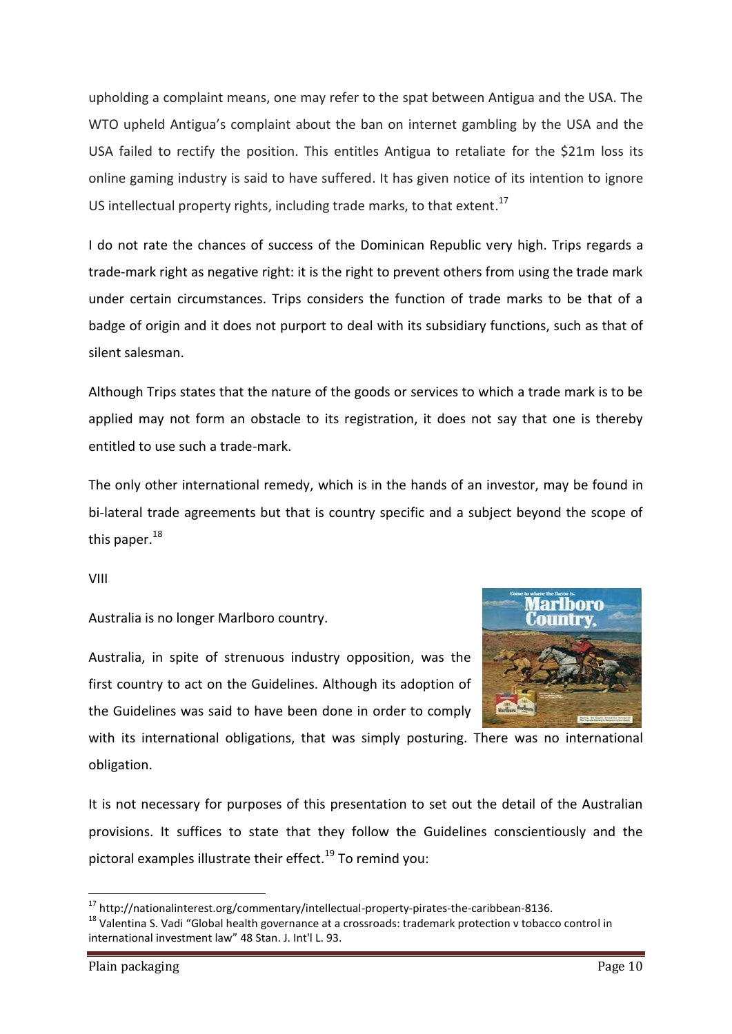upholding a complaint means, one may refer to the spat between Antigua and the USA. The WTO upheld Antigua's complaint about the ban on internet gambling by the USA and the USA failed to rectify the position. This entitles Antigua to retaliate for the \$21m loss its online gaming industry is said to have suffered. It has given notice of its intention to ignore US intellectual property rights, including trade marks, to that extent.<sup>17</sup>

I do not rate the chances of success of the Dominican Republic very high. Trips regards a trade-mark right as negative right: it is the right to prevent others from using the trade mark under certain circumstances. Trips considers the function of trade marks to be that of a badge of origin and it does not purport to deal with its subsidiary functions, such as that of silent salesman.

Although Trips states that the nature of the goods or services to which a trade mark is to be applied may not form an obstacle to its registration, it does not say that one is thereby entitled to use such a trade-mark.

The only other international remedy, which is in the hands of an investor, may be found in bi-lateral trade agreements but that is country specific and a subject beyond the scope of this paper. $^{18}$ 

VIII

Australia is no longer Marlboro country.

Australia, in spite of strenuous industry opposition, was the first country to act on the Guidelines. Although its adoption of the Guidelines was said to have been done in order to comply

with its international obligations, that was simply posturing. There was no international obligation.

It is not necessary for purposes of this presentation to set out the detail of the Australian provisions. It suffices to state that they follow the Guidelines conscientiously and the pictoral examples illustrate their effect.<sup>19</sup> To remind you:

<sup>&</sup>lt;sup>17</sup> http://nationalinterest.org/commentary/intellectual-property-pirates-the-caribbean-8136.

<sup>&</sup>lt;sup>18</sup> Valentina S. Vadi "Global health governance at a crossroads: trademark protection v tobacco control in international investment law" 48 Stan. J. Int'l L. 93.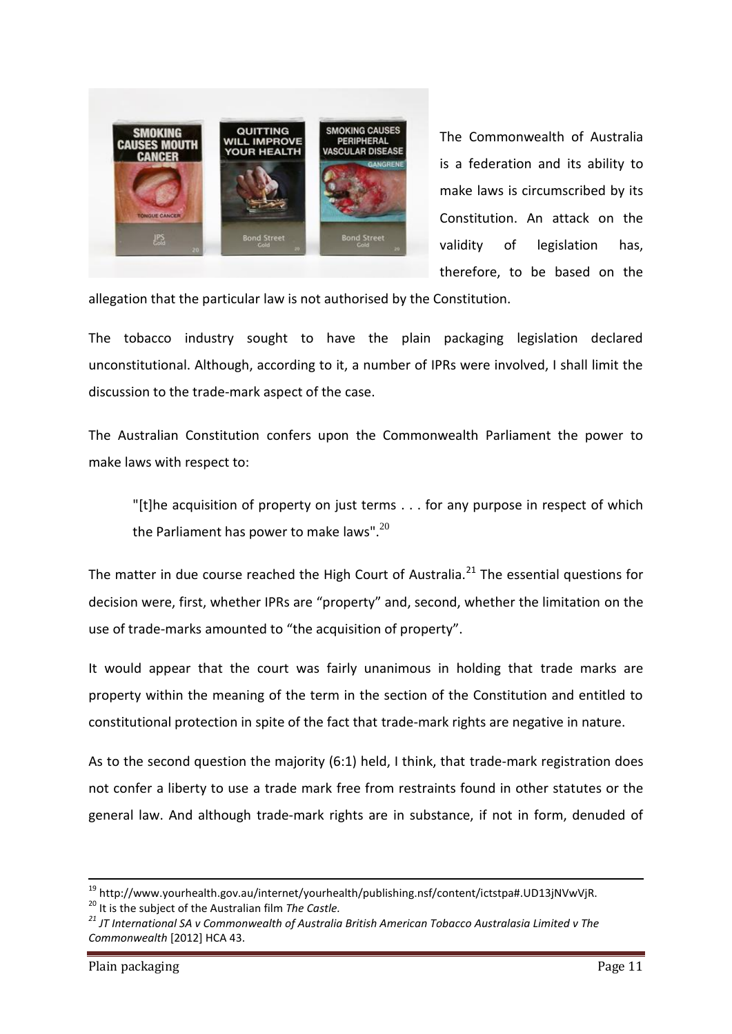

The Commonwealth of Australia is a federation and its ability to make laws is circumscribed by its Constitution. An attack on the validity of legislation has, therefore, to be based on the

allegation that the particular law is not authorised by the Constitution.

The tobacco industry sought to have the plain packaging legislation declared unconstitutional. Although, according to it, a number of IPRs were involved, I shall limit the discussion to the trade-mark aspect of the case.

The Australian Constitution confers upon the Commonwealth Parliament the power to make laws with respect to:

"[t]he acquisition of property on just terms . . . for any purpose in respect of which the Parliament has power to make laws". $^{20}$ 

The matter in due course reached the High Court of Australia.<sup>21</sup> The essential questions for decision were, first, whether IPRs are "property" and, second, whether the limitation on the use of trade-marks amounted to "the acquisition of property".

It would appear that the court was fairly unanimous in holding that trade marks are property within the meaning of the term in the section of the Constitution and entitled to constitutional protection in spite of the fact that trade-mark rights are negative in nature.

As to the second question the majority (6:1) held, I think, that trade-mark registration does not confer a liberty to use a trade mark free from restraints found in other statutes or the general law. And although trade-mark rights are in substance, if not in form, denuded of

<sup>19</sup> http://www.yourhealth.gov.au/internet/yourhealth/publishing.nsf/content/ictstpa#.UD13jNVwVjR.

<sup>20</sup> It is the subject of the Australian film *The Castle.*

*<sup>21</sup> JT International SA v Commonwealth of Australia British American Tobacco Australasia Limited v The Commonwealth* [2012] HCA 43.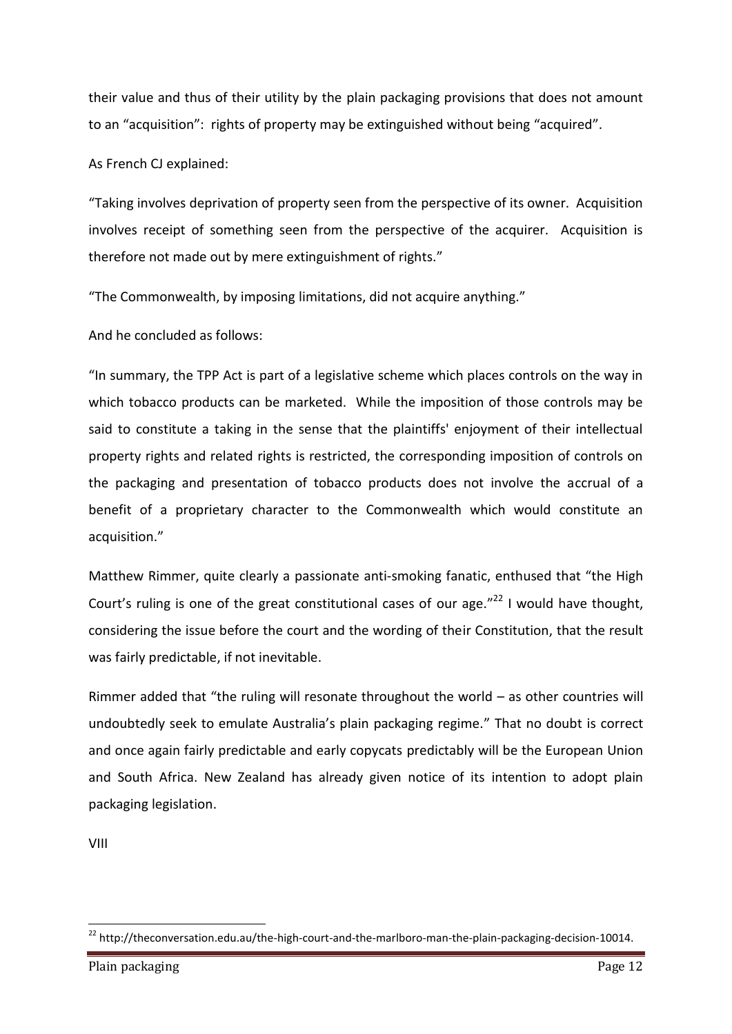their value and thus of their utility by the plain packaging provisions that does not amount to an "acquisition": rights of property may be extinguished without being "acquired".

As French CJ explained:

"Taking involves deprivation of property seen from the perspective of its owner. Acquisition involves receipt of something seen from the perspective of the acquirer. Acquisition is therefore not made out by mere extinguishment of rights."

"The Commonwealth, by imposing limitations, did not acquire anything."

And he concluded as follows:

"In summary, the TPP Act is part of a legislative scheme which places controls on the way in which tobacco products can be marketed. While the imposition of those controls may be said to constitute a taking in the sense that the plaintiffs' enjoyment of their intellectual property rights and related rights is restricted, the corresponding imposition of controls on the packaging and presentation of tobacco products does not involve the accrual of a benefit of a proprietary character to the Commonwealth which would constitute an acquisition."

Matthew Rimmer, quite clearly a passionate anti-smoking fanatic, enthused that "the High Court's ruling is one of the great constitutional cases of our age." $^{22}$  I would have thought, considering the issue before the court and the wording of their Constitution, that the result was fairly predictable, if not inevitable.

Rimmer added that "the ruling will resonate throughout the world – as other countries will undoubtedly seek to emulate Australia's plain packaging regime." That no doubt is correct and once again fairly predictable and early copycats predictably will be the European Union and South Africa. New Zealand has already given notice of its intention to adopt plain packaging legislation.

VIII

<sup>&</sup>lt;sup>22</sup> http://theconversation.edu.au/the-high-court-and-the-marlboro-man-the-plain-packaging-decision-10014.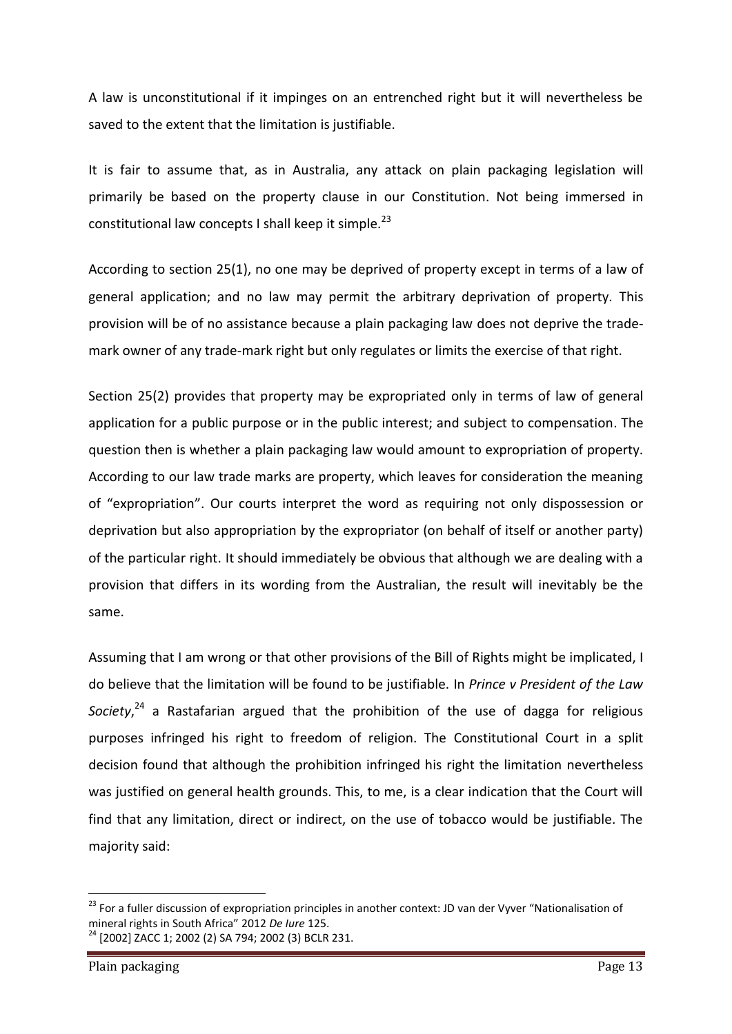A law is unconstitutional if it impinges on an entrenched right but it will nevertheless be saved to the extent that the limitation is justifiable.

It is fair to assume that, as in Australia, any attack on plain packaging legislation will primarily be based on the property clause in our Constitution. Not being immersed in constitutional law concepts I shall keep it simple.<sup>23</sup>

According to section 25(1), no one may be deprived of property except in terms of a law of general application; and no law may permit the arbitrary deprivation of property. This provision will be of no assistance because a plain packaging law does not deprive the trademark owner of any trade-mark right but only regulates or limits the exercise of that right.

Section 25(2) provides that property may be expropriated only in terms of law of general application for a public purpose or in the public interest; and subject to compensation. The question then is whether a plain packaging law would amount to expropriation of property. According to our law trade marks are property, which leaves for consideration the meaning of "expropriation". Our courts interpret the word as requiring not only dispossession or deprivation but also appropriation by the expropriator (on behalf of itself or another party) of the particular right. It should immediately be obvious that although we are dealing with a provision that differs in its wording from the Australian, the result will inevitably be the same.

Assuming that I am wrong or that other provisions of the Bill of Rights might be implicated, I do believe that the limitation will be found to be justifiable. In *Prince v President of the Law*  Society,<sup>24</sup> a Rastafarian argued that the prohibition of the use of dagga for religious purposes infringed his right to freedom of religion. The Constitutional Court in a split decision found that although the prohibition infringed his right the limitation nevertheless was justified on general health grounds. This, to me, is a clear indication that the Court will find that any limitation, direct or indirect, on the use of tobacco would be justifiable. The majority said:

<sup>&</sup>lt;sup>23</sup> For a fuller discussion of expropriation principles in another context: JD van der Vyver "Nationalisation of mineral rights in South Africa" 2012 *De Iure* 125. <sup>24</sup> [2002] ZACC 1; 2002 (2) SA 794; 2002 (3) BCLR 231.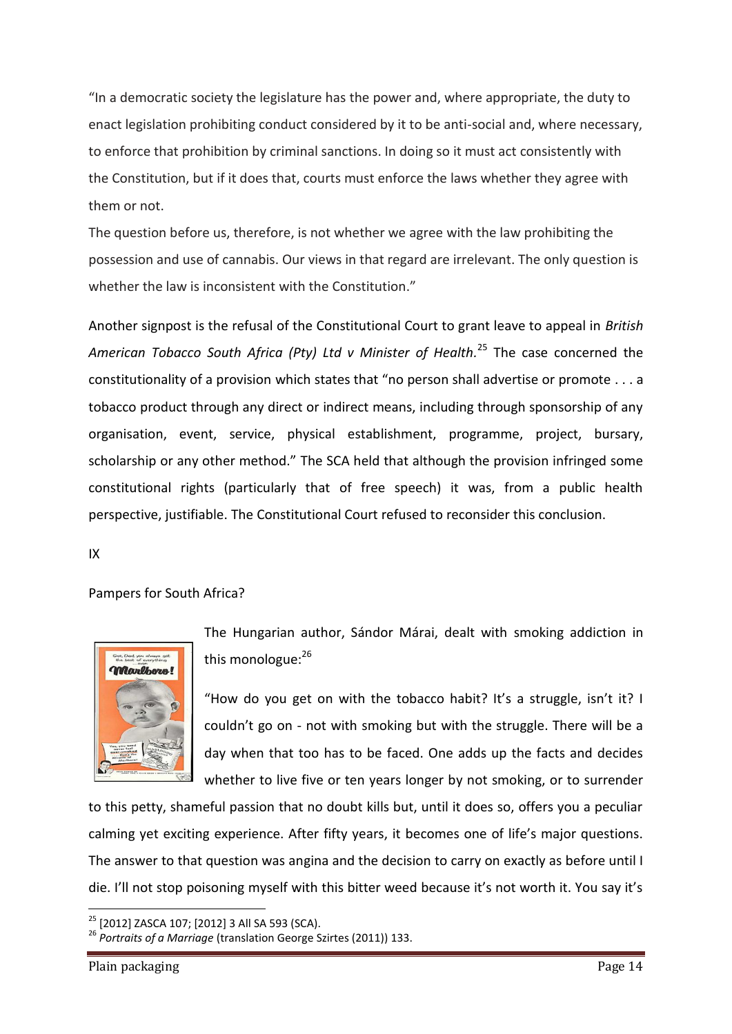"In a democratic society the legislature has the power and, where appropriate, the duty to enact legislation prohibiting conduct considered by it to be anti-social and, where necessary, to enforce that prohibition by criminal sanctions. In doing so it must act consistently with the Constitution, but if it does that, courts must enforce the laws whether they agree with them or not.

The question before us, therefore, is not whether we agree with the law prohibiting the possession and use of cannabis. Our views in that regard are irrelevant. The only question is whether the law is inconsistent with the Constitution."

Another signpost is the refusal of the Constitutional Court to grant leave to appeal in *British American Tobacco South Africa (Pty) Ltd v Minister of Health.* <sup>25</sup> The case concerned the constitutionality of a provision which states that "no person shall advertise or promote . . . a tobacco product through any direct or indirect means, including through sponsorship of any organisation, event, service, physical establishment, programme, project, bursary, scholarship or any other method." The SCA held that although the provision infringed some constitutional rights (particularly that of free speech) it was, from a public health perspective, justifiable. The Constitutional Court refused to reconsider this conclusion.

IX

### Pampers for South Africa?



The Hungarian author, Sándor Márai, dealt with smoking addiction in this monologue:<sup>26</sup>

"How do you get on with the tobacco habit? It's a struggle, isn't it? I couldn't go on - not with smoking but with the struggle. There will be a day when that too has to be faced. One adds up the facts and decides whether to live five or ten years longer by not smoking, or to surrender

to this petty, shameful passion that no doubt kills but, until it does so, offers you a peculiar calming yet exciting experience. After fifty years, it becomes one of life's major questions. The answer to that question was angina and the decision to carry on exactly as before until I die. I'll not stop poisoning myself with this bitter weed because it's not worth it. You say it's

<sup>&</sup>lt;sup>25</sup> [2012] ZASCA 107; [2012] 3 All SA 593 (SCA).

<sup>26</sup> *Portraits of a Marriage* (translation George Szirtes (2011)) 133.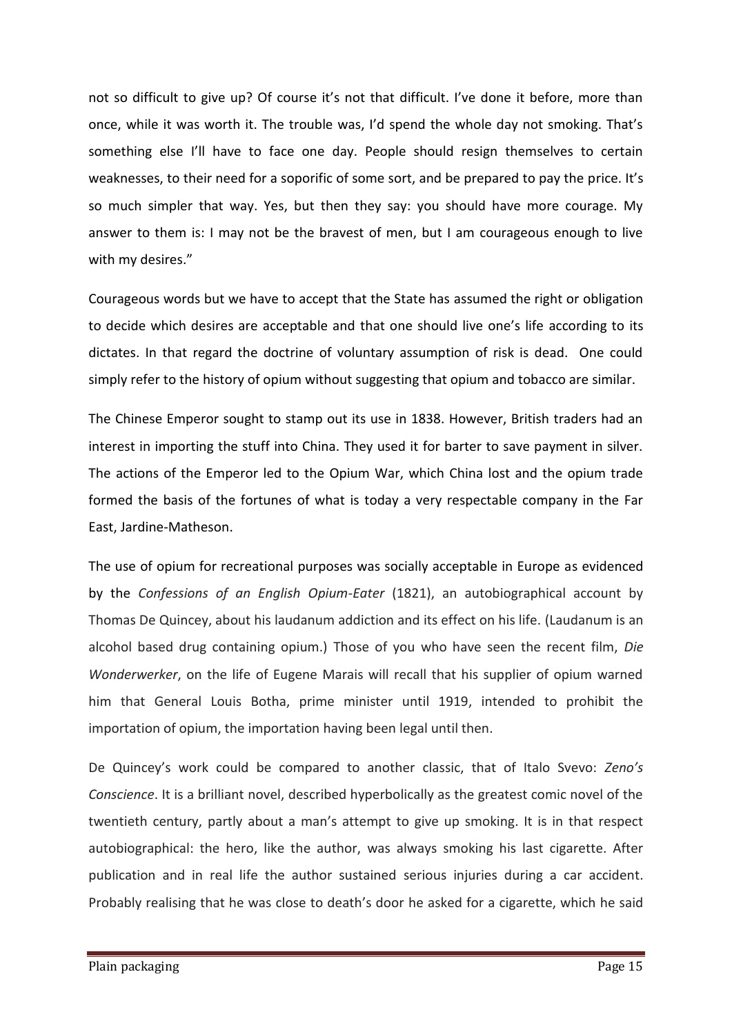not so difficult to give up? Of course it's not that difficult. I've done it before, more than once, while it was worth it. The trouble was, I'd spend the whole day not smoking. That's something else I'll have to face one day. People should resign themselves to certain weaknesses, to their need for a soporific of some sort, and be prepared to pay the price. It's so much simpler that way. Yes, but then they say: you should have more courage. My answer to them is: I may not be the bravest of men, but I am courageous enough to live with my desires."

Courageous words but we have to accept that the State has assumed the right or obligation to decide which desires are acceptable and that one should live one's life according to its dictates. In that regard the doctrine of voluntary assumption of risk is dead. One could simply refer to the history of opium without suggesting that opium and tobacco are similar.

The Chinese Emperor sought to stamp out its use in 1838. However, British traders had an interest in importing the stuff into China. They used it for barter to save payment in silver. The actions of the Emperor led to the Opium War, which China lost and the opium trade formed the basis of the fortunes of what is today a very respectable company in the Far East, Jardine-Matheson.

The use of opium for recreational purposes was socially acceptable in Europe as evidenced by the *Confessions of an English Opium-Eater* (1821), an autobiographical account by Thomas De Quincey, about his laudanum addiction and its effect on his life. (Laudanum is an alcohol based drug containing opium.) Those of you who have seen the recent film, *Die Wonderwerker*, on the life of Eugene Marais will recall that his supplier of opium warned him that General Louis Botha, prime minister until 1919, intended to prohibit the importation of opium, the importation having been legal until then.

De Quincey's work could be compared to another classic, that of Italo Svevo: *Zeno's Conscience*. It is a brilliant novel, described hyperbolically as the greatest comic novel of the twentieth century, partly about a man's attempt to give up smoking. It is in that respect autobiographical: the hero, like the author, was always smoking his last cigarette. After publication and in real life the author sustained serious injuries during a car accident. Probably realising that he was close to death's door he asked for a cigarette, which he said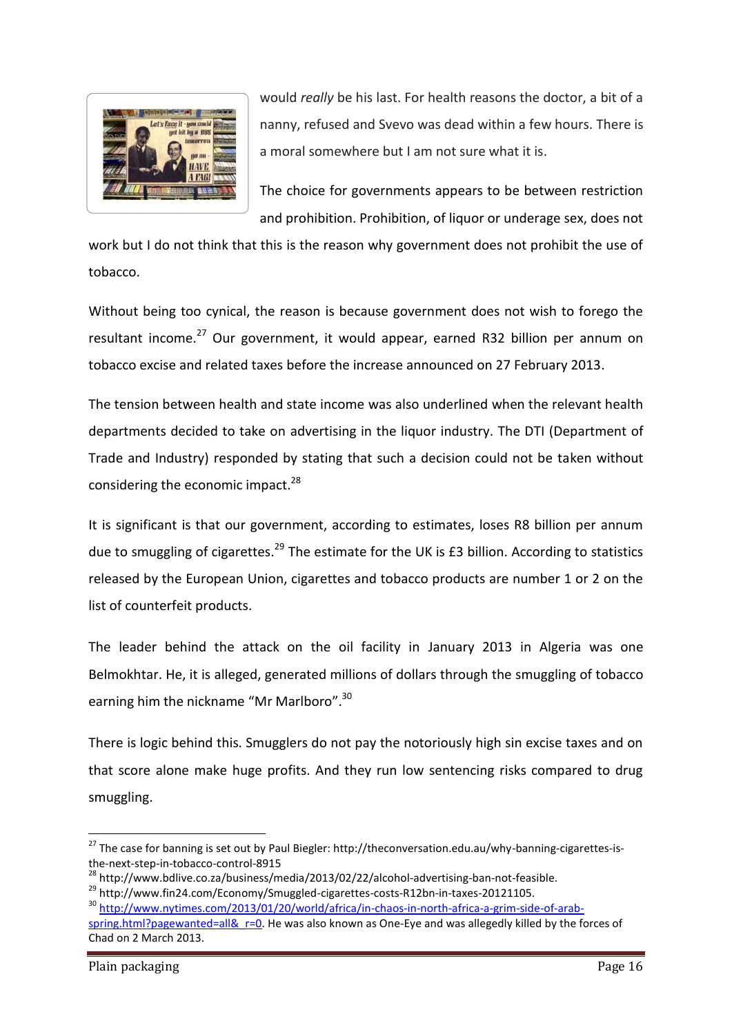

would *really* be his last. For health reasons the doctor, a bit of a nanny, refused and Svevo was dead within a few hours. There is a moral somewhere but I am not sure what it is.

The choice for governments appears to be between restriction and prohibition. Prohibition, of liquor or underage sex, does not

work but I do not think that this is the reason why government does not prohibit the use of tobacco.

Without being too cynical, the reason is because government does not wish to forego the resultant income.<sup>27</sup> Our government, it would appear, earned R32 billion per annum on tobacco excise and related taxes before the increase announced on 27 February 2013.

The tension between health and state income was also underlined when the relevant health departments decided to take on advertising in the liquor industry. The DTI (Department of Trade and Industry) responded by stating that such a decision could not be taken without considering the economic impact.<sup>28</sup>

It is significant is that our government, according to estimates, loses R8 billion per annum due to smuggling of cigarettes.<sup>29</sup> The estimate for the UK is  $E_2$  billion. According to statistics released by the European Union, cigarettes and tobacco products are number 1 or 2 on the list of counterfeit products.

The leader behind the attack on the oil facility in January 2013 in Algeria was one Belmokhtar. He, it is alleged, generated millions of dollars through the smuggling of tobacco earning him the nickname "Mr Marlboro".<sup>30</sup>

There is logic behind this. Smugglers do not pay the notoriously high sin excise taxes and on that score alone make huge profits. And they run low sentencing risks compared to drug smuggling.

 $\overline{a}$ 

<sup>&</sup>lt;sup>27</sup> The case for banning is set out by Paul Biegler: http://theconversation.edu.au/why-banning-cigarettes-isthe-next-step-in-tobacco-control-8915

<sup>&</sup>lt;sup>28</sup> http://www.bdlive.co.za/business/media/2013/02/22/alcohol-advertising-ban-not-feasible.

<sup>&</sup>lt;sup>29</sup> http://www.fin24.com/Economy/Smuggled-cigarettes-costs-R12bn-in-taxes-20121105.

<sup>30</sup> [http://www.nytimes.com/2013/01/20/world/africa/in-chaos-in-north-africa-a-grim-side-of-arab](http://www.nytimes.com/2013/01/20/world/africa/in-chaos-in-north-africa-a-grim-side-of-arab-spring.html?pagewanted=all&_r=0)spring.html?pagewanted=all&r=0. He was also known as One-Eye and was allegedly killed by the forces of Chad on 2 March 2013.